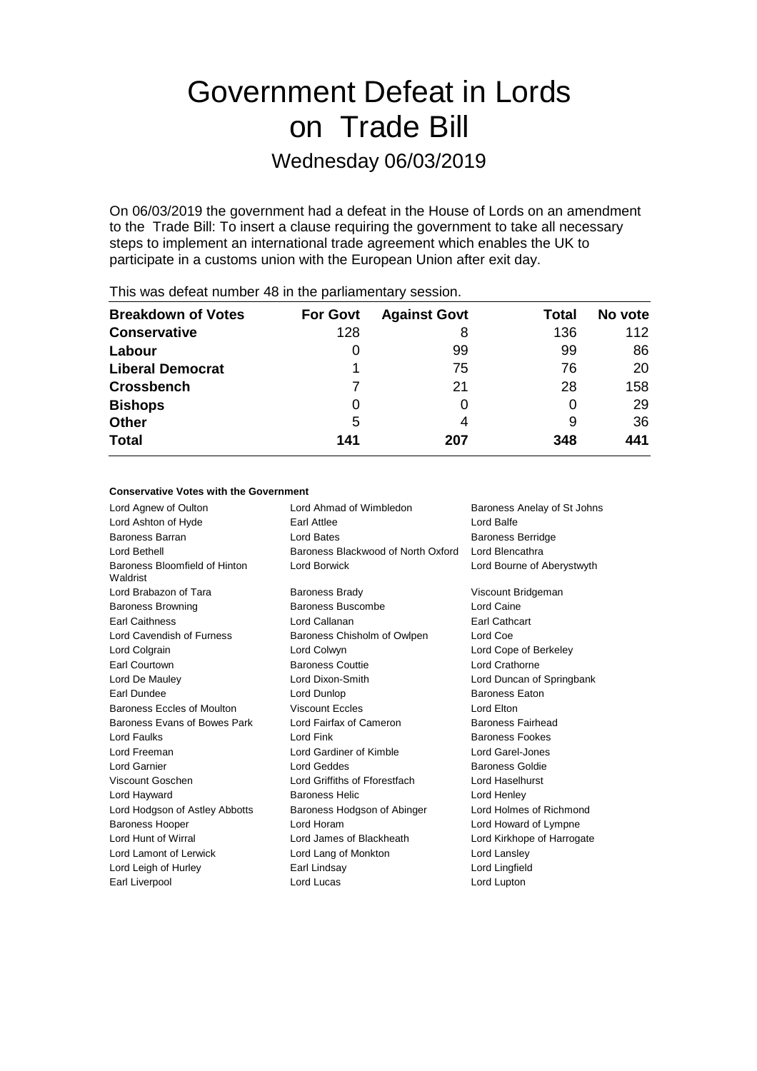# Government Defeat in Lords on Trade Bill

## Wednesday 06/03/2019

On 06/03/2019 the government had a defeat in the House of Lords on an amendment to the Trade Bill: To insert a clause requiring the government to take all necessary steps to implement an international trade agreement which enables the UK to participate in a customs union with the European Union after exit day.

| <b>Breakdown of Votes</b> | <b>For Govt</b> | <b>Against Govt</b> | Total | No vote |
|---------------------------|-----------------|---------------------|-------|---------|
| <b>Conservative</b>       | 128             | 8                   | 136   | 112     |
| Labour                    | $\Omega$        | 99                  | 99    | 86      |
| <b>Liberal Democrat</b>   |                 | 75                  | 76    | 20      |
| <b>Crossbench</b>         |                 | 21                  | 28    | 158     |
| <b>Bishops</b>            | 0               |                     | 0     | 29      |
| <b>Other</b>              | 5               | 4                   | 9     | 36      |
| <b>Total</b>              | 141             | 207                 | 348   | 441     |
|                           |                 |                     |       |         |

This was defeat number 48 in the parliamentary session.

#### **Conservative Votes with the Government**

| Lord Agnew of Oulton                      | Lord Ahmad of Wimbledon<br>Baroness Anelay of St Johns |                            |
|-------------------------------------------|--------------------------------------------------------|----------------------------|
| Lord Ashton of Hyde                       | Lord Balfe<br>Earl Attlee                              |                            |
| Baroness Barran                           | Lord Bates                                             | <b>Baroness Berridge</b>   |
| Lord Bethell                              | Baroness Blackwood of North Oxford                     | Lord Blencathra            |
| Baroness Bloomfield of Hinton<br>Waldrist | Lord Borwick                                           | Lord Bourne of Aberystwyth |
| Lord Brabazon of Tara                     | <b>Baroness Brady</b>                                  | Viscount Bridgeman         |
| <b>Baroness Browning</b>                  | Baroness Buscombe                                      | Lord Caine                 |
| <b>Earl Caithness</b>                     | Lord Callanan                                          | <b>Earl Cathcart</b>       |
| Lord Cavendish of Furness                 | Baroness Chisholm of Owlpen                            | Lord Coe                   |
| Lord Colgrain                             | Lord Colwyn                                            | Lord Cope of Berkeley      |
| Earl Courtown                             | <b>Baroness Couttie</b>                                | Lord Crathorne             |
| Lord De Mauley                            | Lord Dixon-Smith                                       | Lord Duncan of Springbank  |
| Earl Dundee                               | Lord Dunlop                                            | <b>Baroness Eaton</b>      |
| Baroness Eccles of Moulton                | <b>Viscount Eccles</b>                                 | Lord Elton                 |
| Baroness Evans of Bowes Park              | Lord Fairfax of Cameron                                | Baroness Fairhead          |
| Lord Faulks                               | Lord Fink                                              | <b>Baroness Fookes</b>     |
| Lord Freeman                              | Lord Gardiner of Kimble                                | Lord Garel-Jones           |
| Lord Garnier                              | Lord Geddes                                            | <b>Baroness Goldie</b>     |
| Viscount Goschen                          | Lord Griffiths of Fforestfach                          | Lord Haselhurst            |
| Lord Hayward                              | <b>Baroness Helic</b>                                  | Lord Henley                |
| Lord Hodgson of Astley Abbotts            | Baroness Hodgson of Abinger                            | Lord Holmes of Richmond    |
| <b>Baroness Hooper</b>                    | Lord Horam                                             | Lord Howard of Lympne      |
| Lord Hunt of Wirral                       | Lord James of Blackheath                               | Lord Kirkhope of Harrogate |
| Lord Lamont of Lerwick                    | Lord Lang of Monkton                                   | Lord Lansley               |
| Lord Leigh of Hurley                      | Earl Lindsay                                           | Lord Lingfield             |
| Earl Liverpool                            | Lord Lucas                                             | Lord Lupton                |
|                                           |                                                        |                            |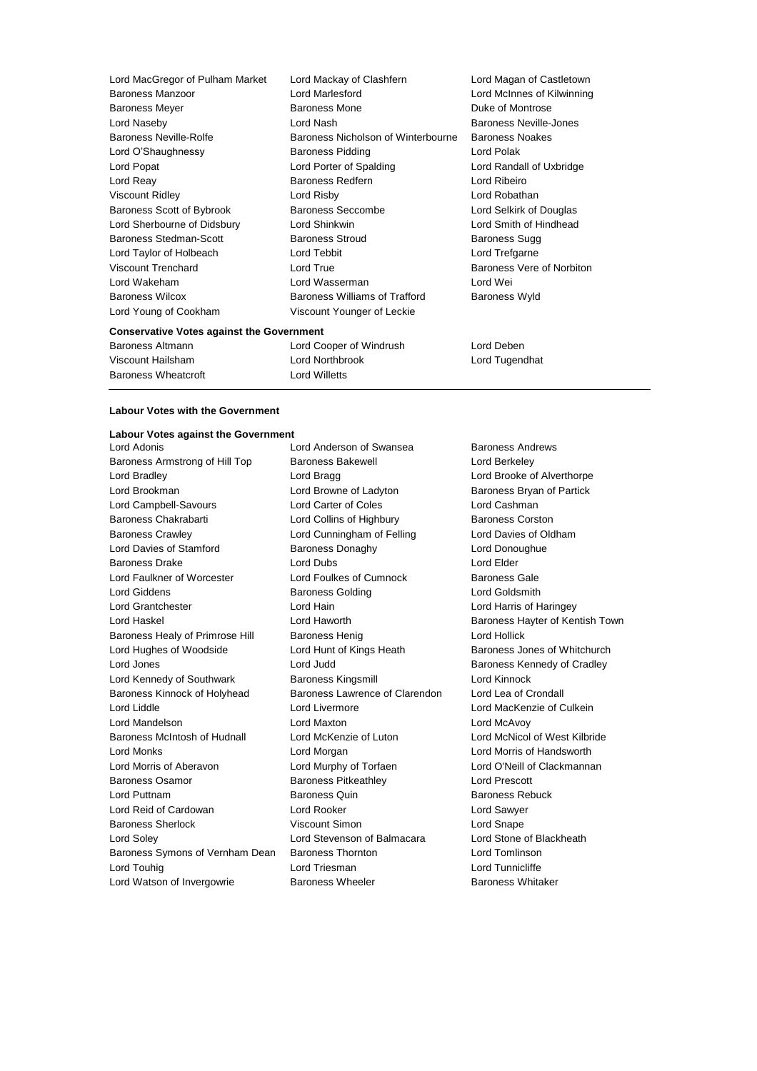**Conservative Votes against the Government** Lord MacGregor of Pulham Market Lord Mackay of Clashfern Lord Magan of Castletown Baroness Manzoor Lord Marlesford Lord McInnes of Kilwinning Baroness Meyer **Baroness Mone** Baroness Mone **Duke of Montrose** Lord Naseby Lord Nash Baroness Neville-Jones Baroness Neville-Rolfe Baroness Nicholson of Winterbourne Baroness Noakes Lord O'Shaughnessy **Baroness Pidding** Lord Polak Lord Popat Lord Porter of Spalding Lord Randall of Uxbridge Lord Reay Baroness Redfern Lord Ribeiro Viscount Ridley Lord Risby Lord Robathan Baroness Scott of Bybrook Baroness Seccombe Lord Selkirk of Douglas Lord Sherbourne of Didsbury Lord Shinkwin Lord Smith of Hindhead Baroness Stedman-Scott Baroness Stroud Baroness Sugg Lord Taylor of Holbeach Lord Tebbit Lord Trefgarne Viscount Trenchard **Lord True** Lord True **Baroness** Vere of Norbiton Lord Wakeham Lord Wasserman Lord Wei Baroness Wilcox **Baroness Williams of Trafford** Baroness Wyld Lord Young of Cookham Viscount Younger of Leckie

Baroness Wheatcroft **Lord Willetts** 

Baroness Altmann Lord Cooper of Windrush Lord Deben Viscount Hailsham Lord Northbrook Lord Tugendhat

### **Labour Votes with the Government**

#### **Labour Votes against the Government**

Baroness Armstrong of Hill Top Baroness Bakewell **Baroness Lord Berkeley** Lord Bradley **Lord Bragg Lord Bragg Lord Brooke of Alverthorpe** Lord Brookman Lord Browne of Ladyton Baroness Bryan of Partick Lord Campbell-Savours Lord Carter of Coles Lord Cashman Baroness Chakrabarti **Lord Collins of Highbury** Baroness Corston Baroness Crawley Lord Cunningham of Felling Lord Davies of Oldham Lord Davies of Stamford **Baroness Donaghy Baroness Donaghy** Lord Donoughue Baroness Drake Lord Dubs Lord Dubs Lord Elder Lord Faulkner of Worcester Lord Foulkes of Cumnock Baroness Gale Lord Giddens **Baroness Golding Community** Lord Goldsmith Lord Grantchester Lord Hain Lord Harris of Haringey Lord Haskel **Lord Haworth Baroness Hayter of Kentish Town** Baroness Healy of Primrose Hill Baroness Henig Controller Lord Hollick Lord Hughes of Woodside Lord Hunt of Kings Heath Baroness Jones of Whitchurch Lord Jones Lord Judd Baroness Kennedy of Cradley Lord Kennedy of Southwark Baroness Kingsmill Lord Kinnock Baroness Kinnock of Holyhead Baroness Lawrence of Clarendon Lord Lea of Crondall Lord Liddle Lord Livermore Lord MacKenzie of Culkein Lord Mandelson Lord Maxton Lord McAvoy Baroness McIntosh of Hudnall Lord McKenzie of Luton Lord McNicol of West Kilbride Lord Monks Lord Morgan Lord Morris of Handsworth Lord Morris of Aberavon Lord Murphy of Torfaen Lord O'Neill of Clackmannan Baroness Osamor **Baroness Pitkeathley Lord Prescott** Lord Puttnam **Baroness Quin** Baroness Quin Baroness Rebuck Lord Reid of Cardowan Lord Rooker Lord Sawyer Baroness Sherlock Viscount Simon Lord Snape Lord Soley Lord Stevenson of Balmacara Lord Stone of Blackheath Baroness Symons of Vernham Dean Baroness Thornton Lord Tomlinson Lord Touhig **Lord Triesman** Lord Triesman **Lord Tunnicliffe** 

Lord Adonis Lord Anderson of Swansea Baroness Andrews Lord Watson of Invergowrie **Baroness Wheeler** Baroness Whitaker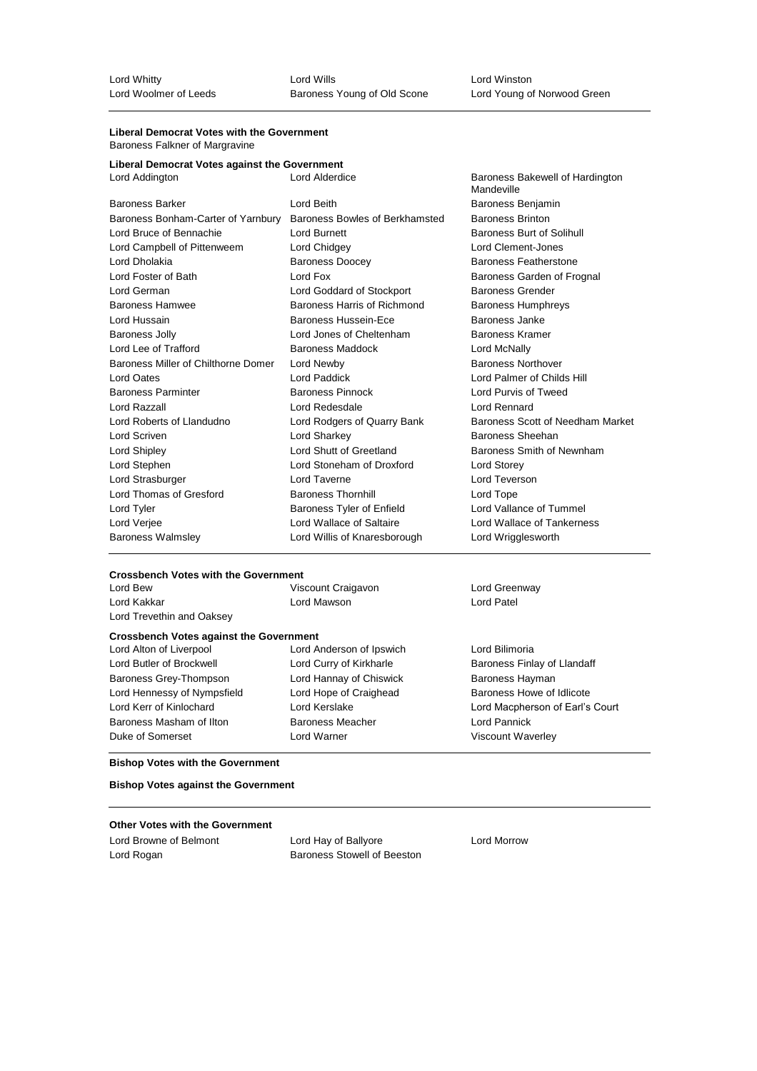#### **Liberal Democrat Votes with the Government** Baroness Falkner of Margravine

| <b>Daronoso</b> r antrior or margravino       |                                                 |                                               |  |
|-----------------------------------------------|-------------------------------------------------|-----------------------------------------------|--|
| Liberal Democrat Votes against the Government |                                                 |                                               |  |
| Lord Addington                                | <b>Lord Alderdice</b>                           | Baroness Bakewell of Hardington<br>Mandeville |  |
| <b>Baroness Barker</b>                        | Lord Beith                                      | Baroness Benjamin                             |  |
| Baroness Bonham-Carter of Yarnbury            | Baroness Bowles of Berkhamsted                  | <b>Baroness Brinton</b>                       |  |
| Lord Bruce of Bennachie                       | Lord Burnett                                    | <b>Baroness Burt of Solihull</b>              |  |
| Lord Campbell of Pittenweem                   | Lord Clement-Jones<br>Lord Chidgey              |                                               |  |
| Lord Dholakia                                 | <b>Baroness Doocey</b><br>Baroness Featherstone |                                               |  |
| Lord Foster of Bath                           | Lord Fox<br>Baroness Garden of Frognal          |                                               |  |
| Lord German                                   | Lord Goddard of Stockport                       | <b>Baroness Grender</b>                       |  |
| <b>Baroness Hamwee</b>                        | Baroness Harris of Richmond                     | <b>Baroness Humphreys</b>                     |  |
| Lord Hussain                                  | Baroness Hussein-Ece                            | Baroness Janke                                |  |
| <b>Baroness Jolly</b>                         | Lord Jones of Cheltenham                        | Baroness Kramer                               |  |
| Lord Lee of Trafford                          | <b>Baroness Maddock</b>                         | Lord McNally                                  |  |
| Baroness Miller of Chilthorne Domer           | Lord Newby                                      | <b>Baroness Northover</b>                     |  |
| Lord Oates                                    | Lord Paddick                                    | Lord Palmer of Childs Hill                    |  |
| <b>Baroness Parminter</b>                     | <b>Baroness Pinnock</b>                         | Lord Purvis of Tweed                          |  |
| Lord Razzall                                  | Lord Redesdale                                  | Lord Rennard                                  |  |
| Lord Roberts of Llandudno                     | Lord Rodgers of Quarry Bank                     | Baroness Scott of Needham Market              |  |
| Lord Scriven                                  | Lord Sharkey                                    | Baroness Sheehan                              |  |
| Lord Shipley                                  | Lord Shutt of Greetland                         | Baroness Smith of Newnham                     |  |
| Lord Stephen                                  | Lord Stoneham of Droxford                       | Lord Storey                                   |  |
| Lord Strasburger                              | Lord Taverne                                    | Lord Teverson                                 |  |
| Lord Thomas of Gresford                       | <b>Baroness Thornhill</b>                       | Lord Tope                                     |  |
| Lord Tyler                                    | Baroness Tyler of Enfield                       | Lord Vallance of Tummel                       |  |
| Lord Verjee                                   | Lord Wallace of Saltaire                        | Lord Wallace of Tankerness                    |  |
| <b>Baroness Walmsley</b>                      | Lord Willis of Knaresborough                    | Lord Wrigglesworth                            |  |
|                                               |                                                 |                                               |  |

#### **Crossbench Votes with the Government**

| Lord Bew                                       | Viscount Craigavon       | Lord Greenway                   |
|------------------------------------------------|--------------------------|---------------------------------|
| Lord Kakkar                                    | Lord Mawson              | Lord Patel                      |
| Lord Trevethin and Oaksey                      |                          |                                 |
| <b>Crossbench Votes against the Government</b> |                          |                                 |
| Lord Alton of Liverpool                        | Lord Anderson of Ipswich | Lord Bilimoria                  |
| Lord Butler of Brockwell                       | Lord Curry of Kirkharle  | Baroness Finlay of Llandaff     |
| Baroness Grey-Thompson                         | Lord Hannay of Chiswick  | Baroness Hayman                 |
| Lord Hennessy of Nympsfield                    | Lord Hope of Craighead   | Baroness Howe of Idlicote       |
| Lord Kerr of Kinlochard                        | Lord Kerslake            | Lord Macpherson of Earl's Court |
| Baroness Masham of Ilton                       | Baroness Meacher         | Lord Pannick                    |
| Duke of Somerset                               | Lord Warner              | Viscount Waverley               |

#### **Bishop Votes with the Government**

**Bishop Votes against the Government**

#### **Other Votes with the Government**

Lord Browne of Belmont Lord Hay of Ballyore Lord Morrow Lord Rogan **Baroness Stowell of Beeston**